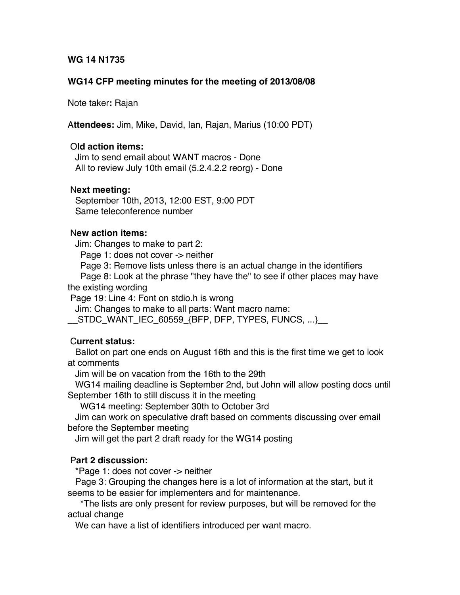### **WG 14 N1735**

### **WG14 CFP meeting minutes for the meeting of 2013/08/08**

Note taker**:** Rajan

A**ttendees:** Jim, Mike, David, Ian, Rajan, Marius (10:00 PDT)

### O**ld action items:**

 Jim to send email about WANT macros - Done All to review July 10th email (5.2.4.2.2 reorg) - Done

### N**ext meeting:**

 September 10th, 2013, 12:00 EST, 9:00 PDT Same teleconference number

## N**ew action items:**

Jim: Changes to make to part 2:

Page 1: does not cover -> neither

Page 3: Remove lists unless there is an actual change in the identifiers

 Page 8: Look at the phrase "they have the" to see if other places may have the existing wording

Page 19: Line 4: Font on stdio.h is wrong

Jim: Changes to make to all parts: Want macro name:

\_\_STDC\_WANT\_IEC\_60559\_{BFP, DFP, TYPES, FUNCS, ...}\_\_

# C**urrent status:**

 Ballot on part one ends on August 16th and this is the first time we get to look at comments

Jim will be on vacation from the 16th to the 29th

 WG14 mailing deadline is September 2nd, but John will allow posting docs until September 16th to still discuss it in the meeting

WG14 meeting: September 30th to October 3rd

 Jim can work on speculative draft based on comments discussing over email before the September meeting

Jim will get the part 2 draft ready for the WG14 posting

# P**art 2 discussion:**

\*Page 1: does not cover -> neither

 Page 3: Grouping the changes here is a lot of information at the start, but it seems to be easier for implementers and for maintenance.

 \*The lists are only present for review purposes, but will be removed for the actual change

We can have a list of identifiers introduced per want macro.